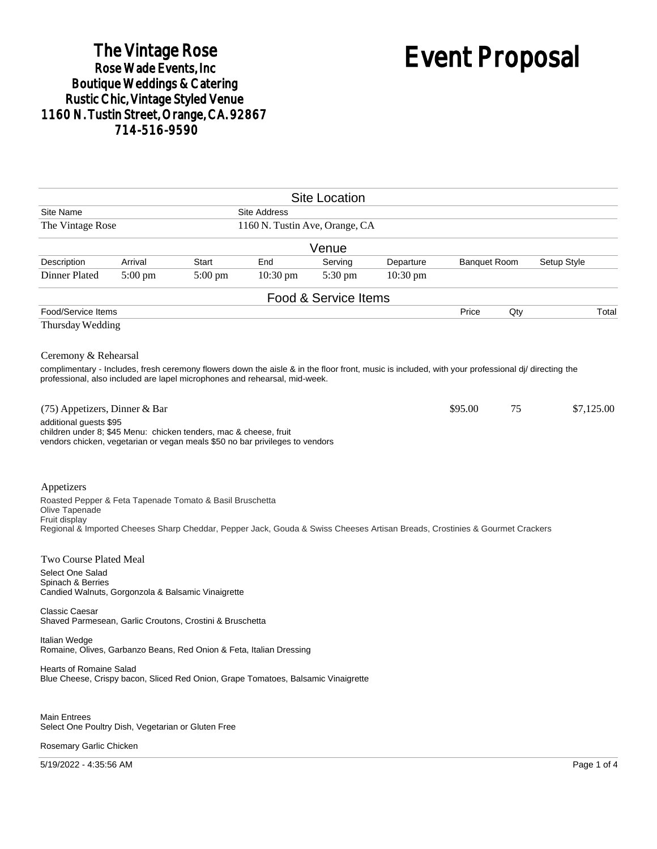## The Vintage Rose<br>Rose Wade Events, Inc Boutique Weddings & Catering<br>Rustic Chic, Vintage Styled Venue 1160 N. Tustin Street, Orange, CA. 92867 714-516-9590

# Event Proposal

|                                                                                                                                                                                                                                                         |           |           |                                | <b>Site Location</b> |            |                     |     |             |
|---------------------------------------------------------------------------------------------------------------------------------------------------------------------------------------------------------------------------------------------------------|-----------|-----------|--------------------------------|----------------------|------------|---------------------|-----|-------------|
| Site Name                                                                                                                                                                                                                                               |           |           | <b>Site Address</b>            |                      |            |                     |     |             |
| The Vintage Rose                                                                                                                                                                                                                                        |           |           | 1160 N. Tustin Ave, Orange, CA |                      |            |                     |     |             |
|                                                                                                                                                                                                                                                         |           |           |                                | Venue                |            |                     |     |             |
| Description                                                                                                                                                                                                                                             | Arrival   | Start     | End                            | Serving              | Departure  | <b>Banquet Room</b> |     | Setup Style |
| Dinner Plated                                                                                                                                                                                                                                           | $5:00$ pm | $5:00$ pm | 10:30 pm                       | 5:30 pm              | $10:30$ pm |                     |     |             |
|                                                                                                                                                                                                                                                         |           |           |                                | Food & Service Items |            |                     |     |             |
| Food/Service Items                                                                                                                                                                                                                                      |           |           |                                |                      |            | Price               | Qty | Total       |
| Thursday Wedding                                                                                                                                                                                                                                        |           |           |                                |                      |            |                     |     |             |
| Ceremony & Rehearsal<br>complimentary - Includes, fresh ceremony flowers down the aisle & in the floor front, music is included, with your professional di/ directing the<br>professional, also included are lapel microphones and rehearsal, mid-week. |           |           |                                |                      |            |                     |     |             |
| (75) Appetizers, Dinner & Bar                                                                                                                                                                                                                           |           |           |                                |                      |            | \$95.00             | 75  | \$7,125.00  |
| additional guests \$95<br>children under 8; \$45 Menu: chicken tenders, mac & cheese, fruit<br>vendors chicken, vegetarian or vegan meals \$50 no bar privileges to vendors                                                                             |           |           |                                |                      |            |                     |     |             |
| Appetizers<br>Roasted Pepper & Feta Tapenade Tomato & Basil Bruschetta<br>Olive Tapenade<br>Fruit display<br>Regional & Imported Cheeses Sharp Cheddar, Pepper Jack, Gouda & Swiss Cheeses Artisan Breads, Crostinies & Gourmet Crackers                |           |           |                                |                      |            |                     |     |             |
| Two Course Plated Meal<br>Select One Salad<br>Spinach & Berries<br>Candied Walnuts, Gorgonzola & Balsamic Vinaigrette                                                                                                                                   |           |           |                                |                      |            |                     |     |             |
| <b>Classic Caesar</b><br>Shaved Parmesean, Garlic Croutons, Crostini & Bruschetta                                                                                                                                                                       |           |           |                                |                      |            |                     |     |             |
| Italian Wedge<br>Romaine, Olives, Garbanzo Beans, Red Onion & Feta, Italian Dressing                                                                                                                                                                    |           |           |                                |                      |            |                     |     |             |
| Hearts of Romaine Salad<br>Blue Cheese, Crispy bacon, Sliced Red Onion, Grape Tomatoes, Balsamic Vinaigrette                                                                                                                                            |           |           |                                |                      |            |                     |     |             |
| <b>Main Entrees</b><br>Select One Poultry Dish, Vegetarian or Gluten Free<br>Rosemary Garlic Chicken                                                                                                                                                    |           |           |                                |                      |            |                     |     |             |

5/19/2022 - 4:35:56 AM Page 1 of 4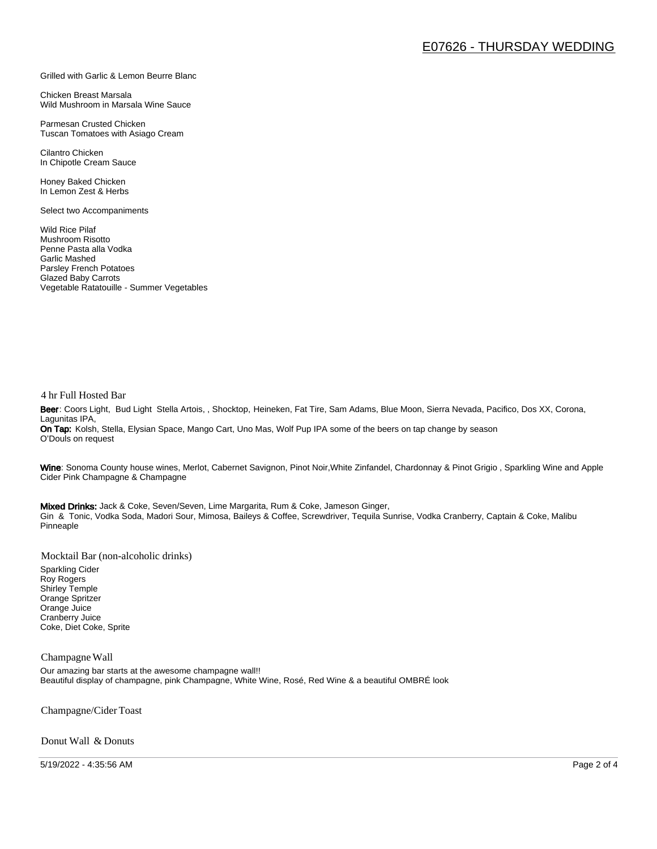#### Grilled with Garlic & Lemon Beurre Blanc

Chicken Breast Marsala Wild Mushroom in Marsala Wine Sauce

Parmesan Crusted Chicken Tuscan Tomatoes with Asiago Cream

Cilantro Chicken In Chipotle Cream Sauce

Honey Baked Chicken In Lemon Zest & Herbs

Select two Accompaniments

Wild Rice Pilaf Mushroom Risotto Penne Pasta alla Vodka Garlic Mashed Parsley French Potatoes Glazed Baby Carrots Vegetable Ratatouille - Summer Vegetables

#### 4 hr Full Hosted Bar

Beer: Coors Light, Bud Light Stella Artois, , Shocktop, Heineken, Fat Tire, Sam Adams, Blue Moon, Sierra Nevada, Pacifico, Dos XX, Corona, Lagunitas IPA, On Tap: Kolsh, Stella, Elysian Space, Mango Cart, Uno Mas, Wolf Pup IPA some of the beers on tap change by season O'Douls on request

Wine: Sonoma County house wines, Merlot, Cabernet Savignon, Pinot Noir, White Zinfandel, Chardonnay & Pinot Grigio, Sparkling Wine and Apple Cider Pink Champagne & Champagne

Mixed Drinks: Jack & Coke, Seven/Seven, Lime Margarita, Rum & Coke, Jameson Ginger, Gin & Tonic, Vodka Soda, Madori Sour, Mimosa, Baileys & Coffee, Screwdriver, Tequila Sunrise, Vodka Cranberry, Captain & Coke, Malibu Pinneaple

Mocktail Bar (non-alcoholic drinks)

Sparkling Cider Roy Rogers Shirley Temple Orange Spritzer Orange Juice Cranberry Juice Coke, Diet Coke, Sprite

#### Champagne Wall

Our amazing bar starts at the awesome champagne wall!! Beautiful display of champagne, pink Champagne, White Wine, Rosé, Red Wine & a beautiful OMBRÉ look

Champagne/Cider Toast

Donut Wall & Donuts

5/19/2022 - 4:35:56 AM Page 2 of 4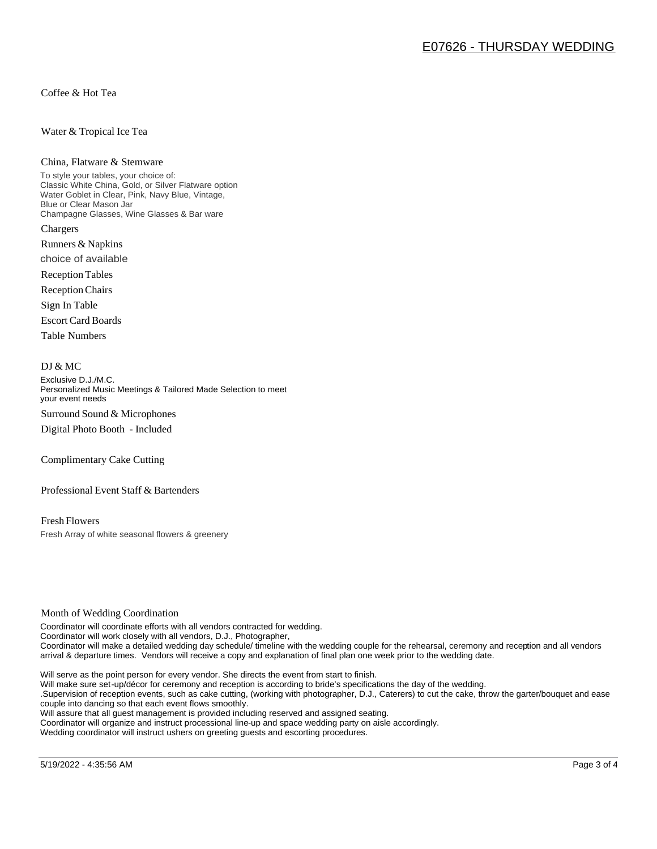Coffee & Hot Tea

#### Water & Tropical Ice Tea

#### China, Flatware & Stemware

To style your tables, your choice of: Classic White China, Gold, or Silver Flatware option Water Goblet in Clear, Pink, Navy Blue, Vintage, Blue or Clear Mason Jar Champagne Glasses, Wine Glasses & Bar ware Chargers

Runners & Napkins choice of available

Reception Tables

Reception Chairs

Sign In Table

Escort Card Boards

Table Numbers

#### DJ & MC

Exclusive D.J./M.C. Personalized Music Meetings & Tailored Made Selection to meet your event needs Surround Sound & Microphones

Digital Photo Booth - Included

Complimentary Cake Cutting

Professional Event Staff & Bartenders

Fresh Flowers Fresh Array of white seasonal flowers & greenery

#### Month of Wedding Coordination

Coordinator will coordinate efforts with all vendors contracted for wedding. Coordinator will work closely with all vendors, D.J., Photographer, Coordinator will make a detailed wedding day schedule/ timeline with the wedding couple for the rehearsal, ceremony and reception and all vendors arrival & departure times. Vendors will receive a copy and explanation of final plan one week prior to the wedding date.

Will serve as the point person for every vendor. She directs the event from start to finish.

Will make sure set-up/décor for ceremony and reception is according to bride's specifications the day of the wedding.

.Supervision of reception events, such as cake cutting, (working with photographer, D.J., Caterers) to cut the cake, throw the garter/bouquet and ease couple into dancing so that each event flows smoothly.

Will assure that all guest management is provided including reserved and assigned seating.

Coordinator will organize and instruct processional line-up and space wedding party on aisle accordingly.

Wedding coordinator will instruct ushers on greeting guests and escorting procedures.